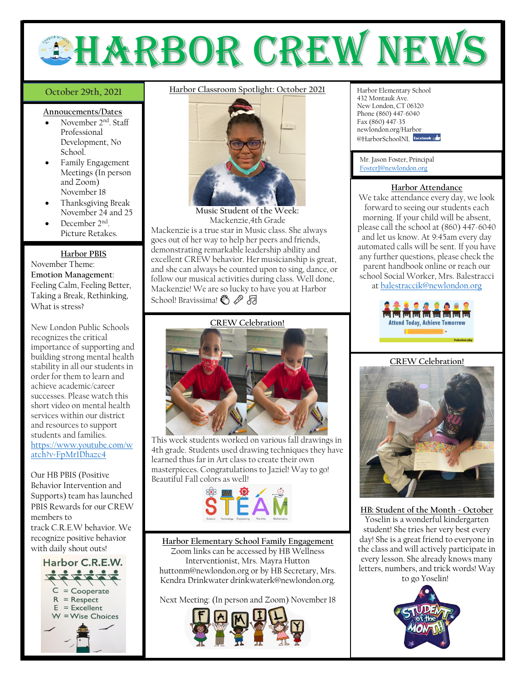# EHARBOR CREW NEW

#### October 29th, 2021

#### **Annoucements/Dates**

- November 2<sup>nd</sup>. Staff Professional Development, No School.
- Family Engagement Meetings (In person and Zoom) November 18
- Thanksgiving Break November 24 and 25
- December 2<sup>nd</sup>. Picture Retakes.

#### **Harbor PBIS**

November Theme: **Emotion Management**: Feeling Calm, Feeling Better, Taking a Break, Rethinking, What is stress?

New London Public Schools recognizes the critical importance of supporting and building strong mental health stability in all our students in order for them to learn and achieve academic/career successes. Please watch this short video on mental health services within our district and resources to support students and families. [https://www.youtube.com/w](https://www.youtube.com/watch?v=FpMr1Dhazc4) [atch?v=FpMr1Dhazc4](https://www.youtube.com/watch?v=FpMr1Dhazc4)

Our HB PBIS (Positive Behavior Intervention and Supports) team has launched PBIS Rewards for our CREW members to

track C.R.E.W behavior. We recognize positive behavior with daily shout outs!



# **October 29th, 2021** Harbor Classroom Spotlight: October 2021 Harbor Elementary School



**Music Student of the Week:** Mackenzie,4th Grade Mackenzie is a true star in Music class. She always goes out of her way to help her peers and friends, demonstrating remarkable leadership ability and excellent CREW behavior. Her musicianship is great, and she can always be counted upon to sing, dance, or follow our musical activities during class. Well done, Mackenzie! We are so lucky to have you at Harbor

## School! Bravissima! *<a>*

**CREW Celebration!**



This week students worked on various fall drawings in 4th grade. Students used drawing techniques they have learned thus far in Art class to create their own masterpieces. Congratulations to Jaziel! Way to go! Beautiful Fall colors as well!



**Harbor Elementary School Family Engagement** Zoom links can be accessed by HB Wellness Interventionist, Mrs. Mayra Hutton [huttonm@newlondon.org](mailto:huttonm@newlondon.org) or by HB Secretary, Mrs. Kendra Drinkwate[r drinkwaterk@newlondon.org.](mailto:drinkwaterk@newlondon.org)

Next Meeting: (In person and Zoom) November 18



432 Montauk Ave. New London, CT 06320 Phone (860) 447-6040 Fax (860) 447-35 newlondon.org/Harbor @HarborSchoolNL facebook

Mr. Jason Foster, Principal [FosterJ@newlondon.org](mailto:FosterJ@newlondon.org)

#### **Harbor Attendance**

We take attendance every day, we look forward to seeing our students each morning. If your child will be absent, please call the school at (860) 447-6040 and let us know. At 9:45am every day automated calls will be sent. If you have any further questions, please check the parent handbook online or reach our school Social Worker, Mrs. Balestracci at [balestraccik@newlondon.org](mailto:balestraccik@newlondon.org)



#### **CREW Celebration!**



**HB: Student of the Month - October** Yoselin is a wonderful kindergarten student! She tries her very best every day! She is a great friend to everyone in the class and will actively participate in every lesson. She already knows many letters, numbers, and trick words! Way to go Yoselin!